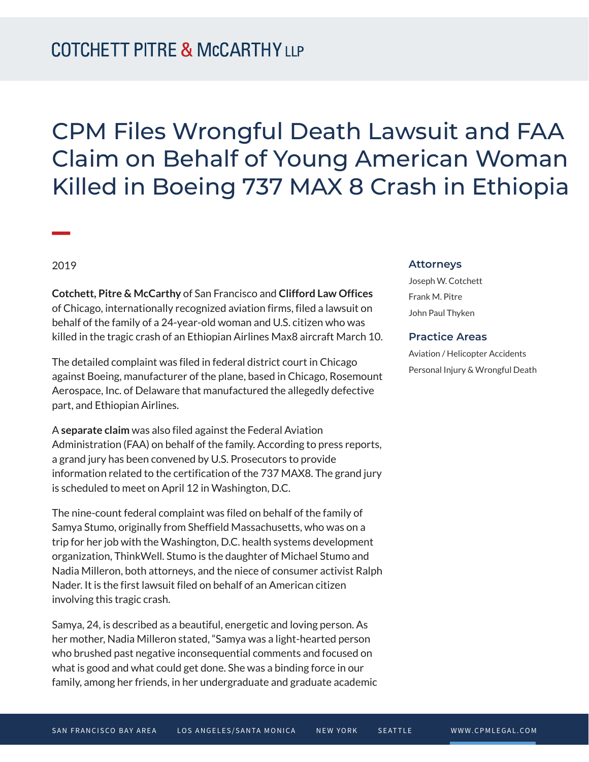# CPM Files Wrongful Death Lawsuit and FAA Claim on Behalf of Young American Woman Killed in Boeing 737 MAX 8 Crash in Ethiopia

2019

**William Company** 

**Cotchett, Pitre & McCarthy** of San Francisco and **Clifford Law Offices** of Chicago, internationally recognized aviation firms, filed a lawsuit on behalf of the family of a 24-year-old woman and U.S. citizen who was killed in the tragic crash of an Ethiopian Airlines Max8 aircraft March 10.

The detailed complaint was filed in federal district court in Chicago against Boeing, manufacturer of the plane, based in Chicago, Rosemount Aerospace, Inc. of Delaware that manufactured the allegedly defective part, and Ethiopian Airlines.

A **separate claim** was also filed against the Federal Aviation Administration (FAA) on behalf of the family. According to press reports, a grand jury has been convened by U.S. Prosecutors to provide information related to the certification of the 737 MAX8. The grand jury is scheduled to meet on April 12 in Washington, D.C.

The nine-count federal complaint was filed on behalf of the family of Samya Stumo, originally from Sheffield Massachusetts, who was on a trip for her job with the Washington, D.C. health systems development organization, ThinkWell. Stumo is the daughter of Michael Stumo and Nadia Milleron, both attorneys, and the niece of consumer activist Ralph Nader. It is the first lawsuit filed on behalf of an American citizen involving this tragic crash.

Samya, 24, is described as a beautiful, energetic and loving person. As her mother, Nadia Milleron stated, "Samya was a light-hearted person who brushed past negative inconsequential comments and focused on what is good and what could get done. She was a binding force in our family, among her friends, in her undergraduate and graduate academic

#### **Attorneys**

Joseph W. Cotchett Frank M. Pitre John Paul Thyken

#### **Practice Areas**

Aviation / Helicopter Accidents Personal Injury & Wrongful Death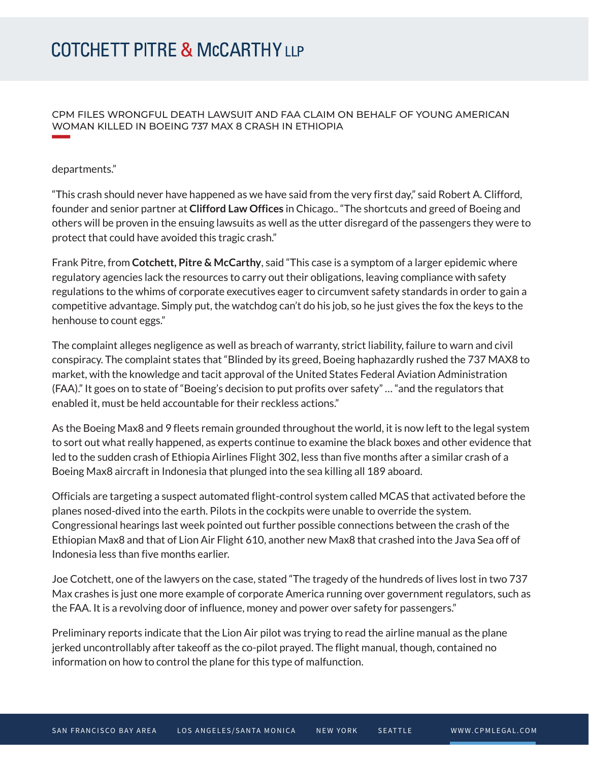CPM FILES WRONGFUL DEATH LAWSUIT AND FAA CLAIM ON BEHALF OF YOUNG AMERICAN WOMAN KILLED IN BOEING 737 MAX 8 CRASH IN ETHIOPIA

### departments."

"This crash should never have happened as we have said from the very first day," said Robert A. Clifford, founder and senior partner at **Clifford Law Offices** in Chicago.. "The shortcuts and greed of Boeing and others will be proven in the ensuing lawsuits as well as the utter disregard of the passengers they were to protect that could have avoided this tragic crash."

Frank Pitre, from **Cotchett, Pitre & McCarthy**, said "This case is a symptom of a larger epidemic where regulatory agencies lack the resources to carry out their obligations, leaving compliance with safety regulations to the whims of corporate executives eager to circumvent safety standards in order to gain a competitive advantage. Simply put, the watchdog can't do his job, so he just gives the fox the keys to the henhouse to count eggs."

The complaint alleges negligence as well as breach of warranty, strict liability, failure to warn and civil conspiracy. The complaint states that "Blinded by its greed, Boeing haphazardly rushed the 737 MAX8 to market, with the knowledge and tacit approval of the United States Federal Aviation Administration (FAA)." It goes on to state of "Boeing's decision to put profits over safety" … "and the regulators that enabled it, must be held accountable for their reckless actions."

As the Boeing Max8 and 9 fleets remain grounded throughout the world, it is now left to the legal system to sort out what really happened, as experts continue to examine the black boxes and other evidence that led to the sudden crash of Ethiopia Airlines Flight 302, less than five months after a similar crash of a Boeing Max8 aircraft in Indonesia that plunged into the sea killing all 189 aboard.

Officials are targeting a suspect automated flight-control system called MCAS that activated before the planes nosed-dived into the earth. Pilots in the cockpits were unable to override the system. Congressional hearings last week pointed out further possible connections between the crash of the Ethiopian Max8 and that of Lion Air Flight 610, another new Max8 that crashed into the Java Sea off of Indonesia less than five months earlier.

Joe Cotchett, one of the lawyers on the case, stated "The tragedy of the hundreds of lives lost in two 737 Max crashes is just one more example of corporate America running over government regulators, such as the FAA. It is a revolving door of influence, money and power over safety for passengers."

Preliminary reports indicate that the Lion Air pilot was trying to read the airline manual as the plane jerked uncontrollably after takeoff as the co-pilot prayed. The flight manual, though, contained no information on how to control the plane for this type of malfunction.